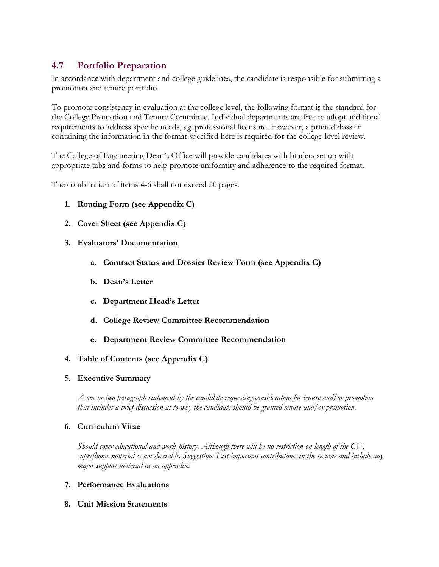# **4.7 Portfolio Preparation**

In accordance with department and college guidelines, the candidate is responsible for submitting a promotion and tenure portfolio.

To promote consistency in evaluation at the college level, the following format is the standard for the College Promotion and Tenure Committee. Individual departments are free to adopt additional requirements to address specific needs, *e.g.* professional licensure. However, a printed dossier containing the information in the format specified here is required for the college-level review.

The College of Engineering Dean's Office will provide candidates with binders set up with appropriate tabs and forms to help promote uniformity and adherence to the required format.

The combination of items 4-6 shall not exceed 50 pages.

- **1. Routing Form (see Appendix C)**
- **2. Cover Sheet (see Appendix C)**
- **3. Evaluators' Documentation** 
	- **a. Contract Status and Dossier Review Form (see Appendix C)**
	- **b. Dean's Letter**
	- **c. Department Head's Letter**
	- **d. College Review Committee Recommendation**
	- **e. Department Review Committee Recommendation**

#### **4. Table of Contents (see Appendix C)**

5. **Executive Summary**

*A one or two paragraph statement by the candidate requesting consideration for tenure and/or promotion that includes a brief discussion at to why the candidate should be granted tenure and/or promotion.*

#### **6. Curriculum Vitae**

*Should cover educational and work history. Although there will be no restriction on length of the CV, superfluous material is not desirable. Suggestion: List important contributions in the resume and include any major support material in an appendix.*

- **7. Performance Evaluations**
- **8. Unit Mission Statements**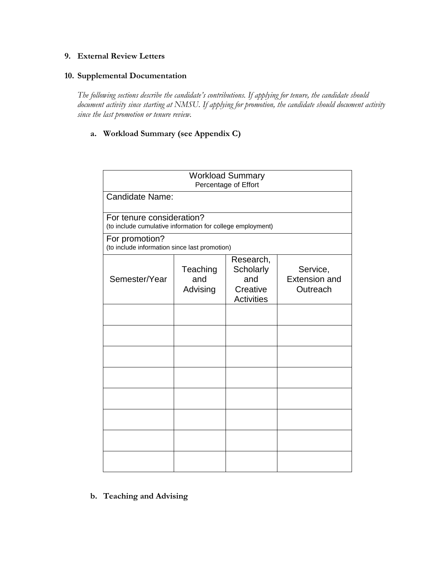#### **9. External Review Letters**

### **10. Supplemental Documentation**

*The following sections describe the candidate's contributions. If applying for tenure, the candidate should document activity since starting at NMSU. If applying for promotion, the candidate should document activity since the last promotion or tenure review.* 

### **a. Workload Summary (see Appendix C)**

| <b>Workload Summary</b><br>Percentage of Effort                                         |                             |                                                                |                                              |
|-----------------------------------------------------------------------------------------|-----------------------------|----------------------------------------------------------------|----------------------------------------------|
| Candidate Name:                                                                         |                             |                                                                |                                              |
| For tenure consideration?<br>(to include cumulative information for college employment) |                             |                                                                |                                              |
| For promotion?<br>(to include information since last promotion)                         |                             |                                                                |                                              |
| Semester/Year                                                                           | Teaching<br>and<br>Advising | Research,<br>Scholarly<br>and<br>Creative<br><b>Activities</b> | Service,<br><b>Extension and</b><br>Outreach |
|                                                                                         |                             |                                                                |                                              |
|                                                                                         |                             |                                                                |                                              |
|                                                                                         |                             |                                                                |                                              |
|                                                                                         |                             |                                                                |                                              |
|                                                                                         |                             |                                                                |                                              |
|                                                                                         |                             |                                                                |                                              |
|                                                                                         |                             |                                                                |                                              |
|                                                                                         |                             |                                                                |                                              |

**b. Teaching and Advising**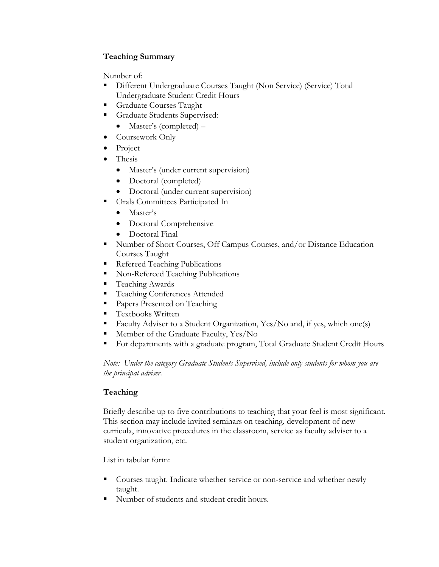## **Teaching Summary**

Number of:

- Different Undergraduate Courses Taught (Non Service) (Service) Total Undergraduate Student Credit Hours
- **Graduate Courses Taught**
- **Graduate Students Supervised:** 
	- Master's (completed) –
- Coursework Only
- Project
- Thesis
	- Master's (under current supervision)
	- Doctoral (completed)
	- Doctoral (under current supervision)
- Orals Committees Participated In
	- Master's
	- Doctoral Comprehensive
	- Doctoral Final
- Number of Short Courses, Off Campus Courses, and/or Distance Education Courses Taught
- Refereed Teaching Publications
- Non-Refereed Teaching Publications
- Teaching Awards
- **Teaching Conferences Attended**
- **Papers Presented on Teaching**
- **Textbooks Written**
- Faculty Adviser to a Student Organization, Yes/No and, if yes, which one(s)
- Member of the Graduate Faculty, Yes/No
- For departments with a graduate program, Total Graduate Student Credit Hours

*Note: Under the category Graduate Students Supervised, include only students for whom you are the principal adviser.*

## **Teaching**

Briefly describe up to five contributions to teaching that your feel is most significant. This section may include invited seminars on teaching, development of new curricula, innovative procedures in the classroom, service as faculty adviser to a student organization, etc.

List in tabular form:

- Courses taught. Indicate whether service or non-service and whether newly taught.
- Number of students and student credit hours.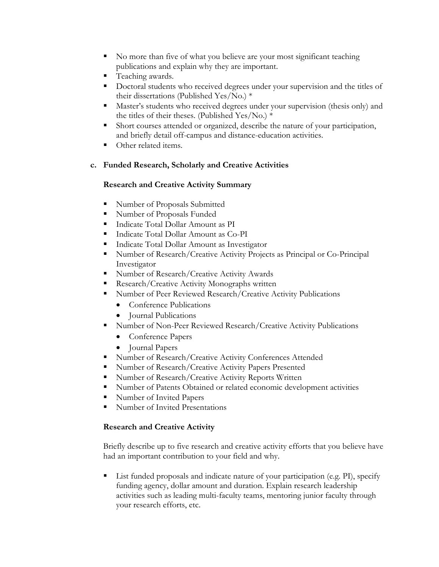- No more than five of what you believe are your most significant teaching publications and explain why they are important.
- **Teaching awards.**
- Doctoral students who received degrees under your supervision and the titles of their dissertations (Published Yes/No.) \*
- Master's students who received degrees under your supervision (thesis only) and the titles of their theses. (Published Yes/No.) \*
- Short courses attended or organized, describe the nature of your participation, and briefly detail off-campus and distance-education activities.
- Other related items.

### **c. Funded Research, Scholarly and Creative Activities**

### **Research and Creative Activity Summary**

- **Number of Proposals Submitted**
- Number of Proposals Funded
- Indicate Total Dollar Amount as PI
- Indicate Total Dollar Amount as Co-PI
- **Indicate Total Dollar Amount as Investigator**
- Number of Research/Creative Activity Projects as Principal or Co-Principal Investigator
- Number of Research/Creative Activity Awards
- **Research/Creative Activity Monographs written**
- Number of Peer Reviewed Research/Creative Activity Publications
	- Conference Publications
	- Journal Publications
- Number of Non-Peer Reviewed Research/Creative Activity Publications
	- Conference Papers
	- Journal Papers
- Number of Research/Creative Activity Conferences Attended
- Number of Research/Creative Activity Papers Presented
- Number of Research/Creative Activity Reports Written
- Number of Patents Obtained or related economic development activities
- Number of Invited Papers
- Number of Invited Presentations

#### **Research and Creative Activity**

Briefly describe up to five research and creative activity efforts that you believe have had an important contribution to your field and why.

 List funded proposals and indicate nature of your participation (e.g. PI), specify funding agency, dollar amount and duration. Explain research leadership activities such as leading multi-faculty teams, mentoring junior faculty through your research efforts, etc.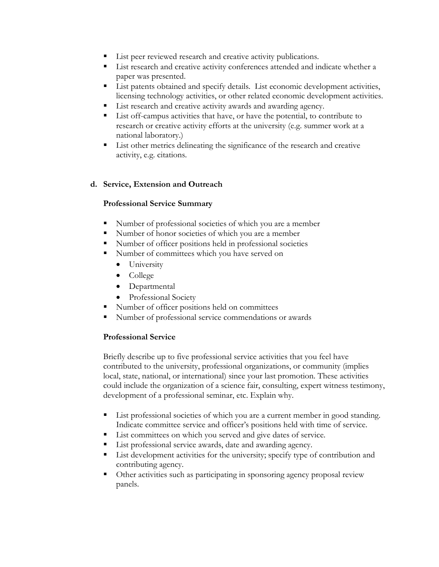- List peer reviewed research and creative activity publications.
- **List research and creative activity conferences attended and indicate whether a** paper was presented.
- **List patents obtained and specify details.** List economic development activities, licensing technology activities, or other related economic development activities.
- List research and creative activity awards and awarding agency.
- List off-campus activities that have, or have the potential, to contribute to research or creative activity efforts at the university (e.g. summer work at a national laboratory.)
- List other metrics delineating the significance of the research and creative activity, e.g. citations.

### **d. Service, Extension and Outreach**

### **Professional Service Summary**

- Number of professional societies of which you are a member
- Number of honor societies of which you are a member
- Number of officer positions held in professional societies
- Number of committees which you have served on
	- University
	- College
	- Departmental
	- Professional Society
- Number of officer positions held on committees
- Number of professional service commendations or awards

## **Professional Service**

Briefly describe up to five professional service activities that you feel have contributed to the university, professional organizations, or community (implies local, state, national, or international) since your last promotion. These activities could include the organization of a science fair, consulting, expert witness testimony, development of a professional seminar, etc. Explain why.

- List professional societies of which you are a current member in good standing. Indicate committee service and officer's positions held with time of service.
- List committees on which you served and give dates of service.
- List professional service awards, date and awarding agency.
- List development activities for the university; specify type of contribution and contributing agency.
- Other activities such as participating in sponsoring agency proposal review panels.